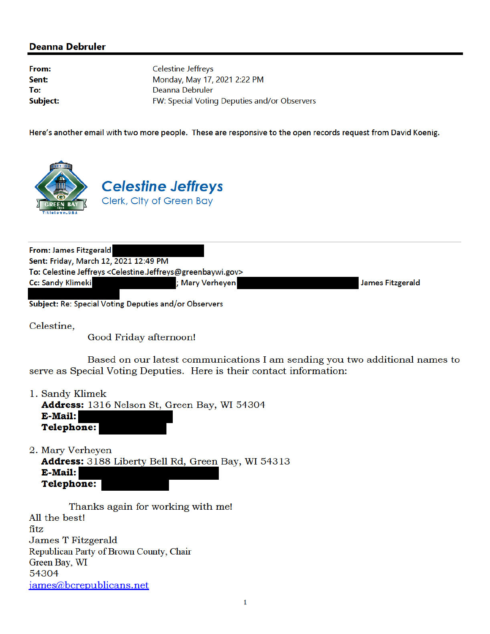## **Deanna Debruler**

From: Sent: To: **Subject:**  **Celestine Jeffreys** Monday, May 17, 2021 2:22 PM Deanna Debruler FW: Special Voting Deputies and/or Observers

Here's another email with two more people. These are responsive to the open records request from David Koenig.



| <b>From: James Fitzgerald</b>                         |                                                                                                |                  |
|-------------------------------------------------------|------------------------------------------------------------------------------------------------|------------------|
| Sent: Friday, March 12, 2021 12:49 PM                 |                                                                                                |                  |
|                                                       | To: Celestine Jeffreys <celestine.jeffreys@greenbaywi.gov></celestine.jeffreys@greenbaywi.gov> |                  |
| <b>Cc: Sandy Klimeki</b>                              | ; Mary Verheyen                                                                                | James Fitzgerald |
|                                                       |                                                                                                |                  |
| Subject: Re: Special Voting Deputies and/or Observers |                                                                                                |                  |

Celestine,

Good Friday afternoon!

Based on our latest communications I am sending you two additional names to serve as Special Voting Deputies. Here is their contact information:

1. Sandy Klimek

Address: 1316 Nelson St, Green Bay, WI 54304 E-Mail: **Telephone:** 

2. Mary Verheyen

Address: 3188 Liberty Bell Rd, Green Bay, WI 54313 E-Mail: **Telephone:** 

Thanks again for working with me! All the best! fitz James T Fitzgerald Republican Party of Brown County, Chair Green Bay, WI 54304 james@bcrepublicans.net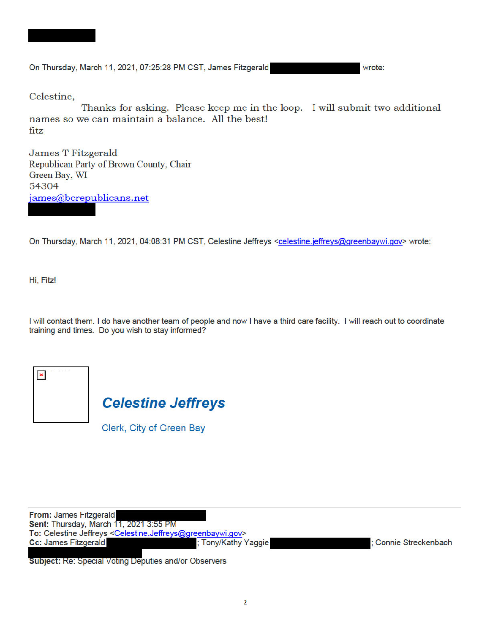

wrote:

Celestine,

Thanks for asking. Please keep me in the loop. I will submit two additional names so we can maintain a balance. All the best! fitz

**James T Fitzgerald** Republican Party of Brown County, Chair Green Bay, WI 54304 james@bcrepublicans.net

On Thursday, March 11, 2021, 04:08:31 PM CST, Celestine Jeffreys <celestine.jeffreys@greenbaywi.gov> wrote:

Hi, Fitz!

I will contact them. I do have another team of people and now I have a third care facility. I will reach out to coordinate training and times. Do you wish to stay informed?

| ï<br><b>TENNIS</b><br>v | <b>Contract</b> | $\sim$ | $\cdots$ |  |  |
|-------------------------|-----------------|--------|----------|--|--|
|                         |                 |        |          |  |  |
|                         |                 |        |          |  |  |

**Celestine Jeffreys** 

Clerk, City of Green Bay

| From: James Fitzgerald                                                                         |                     |                     |
|------------------------------------------------------------------------------------------------|---------------------|---------------------|
| Sent: Thursday, March 11, 2021 3:55 PM                                                         |                     |                     |
| To: Celestine Jeffreys <celestine.jeffreys@greenbaywi.gov></celestine.jeffreys@greenbaywi.gov> |                     |                     |
| <b>Cc: James Fitzgerald</b>                                                                    | ; Tony/Kathy Yaggie | Connie Streckenbach |
|                                                                                                |                     |                     |

**Subject: Re: Special Voting Deputies and/or Observers**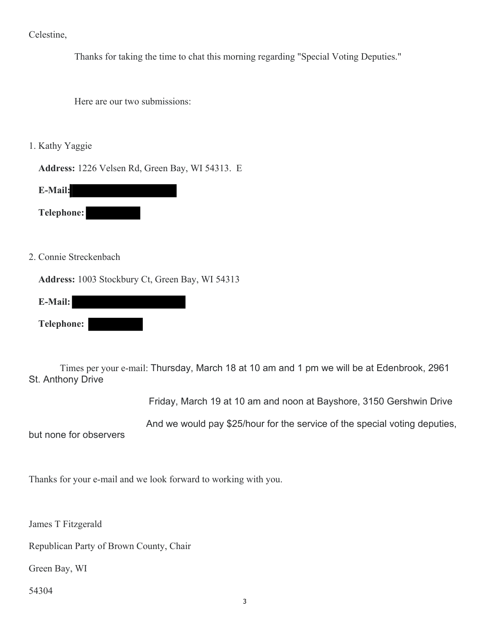Celestine,

Thanks for taking the time to chat this morning regarding "Special Voting Deputies."

Here are our two submissions:

1. Kathy Yaggie

**Address:** 1226 Velsen Rd, Green Bay, WI 54313. E

**E-Mail:**

**Telephone:** 

2. Connie Streckenbach

**Address:** 1003 Stockbury Ct, Green Bay, WI 54313

 **E-Mail: Telephone:**

 Times per your e-mail: Thursday, March 18 at 10 am and 1 pm we will be at Edenbrook, 2961 St. Anthony Drive

Friday, March 19 at 10 am and noon at Bayshore, 3150 Gershwin Drive

And we would pay \$25/hour for the service of the special voting deputies,

but none for observers

Thanks for your e-mail and we look forward to working with you.

James T Fitzgerald

Republican Party of Brown County, Chair

Green Bay, WI

54304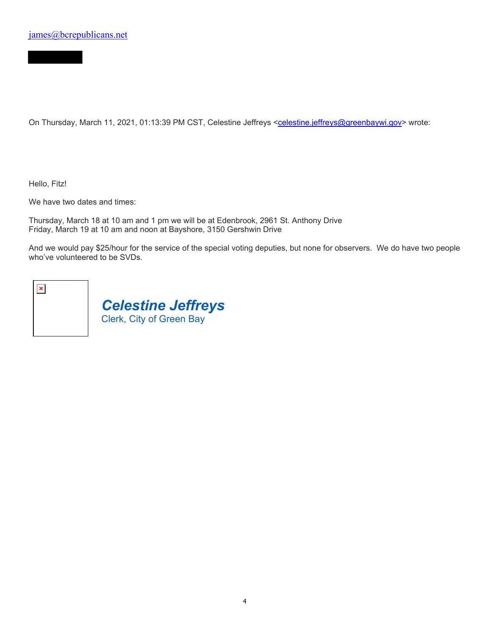On Thursday, March 11, 2021, 01:13:39 PM CST, Celestine Jeffreys <celestine.jeffreys@greenbaywi.gov> wrote:

Hello, Fitz!

We have two dates and times:

Thursday, March 18 at 10 am and 1 pm we will be at Edenbrook, 2961 St. Anthony Drive Friday, March 19 at 10 am and noon at Bayshore, 3150 Gershwin Drive

*Celestine Jeffreys*

Clerk, City of Green Bay

And we would pay \$25/hour for the service of the special voting deputies, but none for observers. We do have two people who've volunteered to be SVDs.

|  | ü | ٠<br>٠<br>٠ | × |  |
|--|---|-------------|---|--|
|  |   |             |   |  |
|  |   |             |   |  |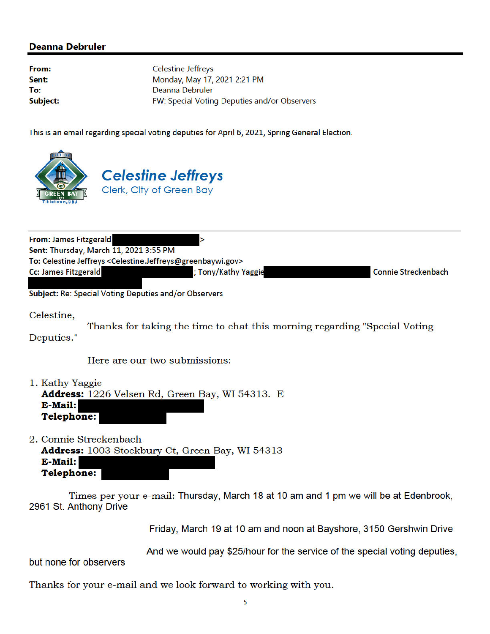## **Deanna Debruler**

From: Sent: To: Subject: **Celestine Jeffreys** Monday, May 17, 2021 2:21 PM Deanna Debruler FW: Special Voting Deputies and/or Observers

This is an email regarding special voting deputies for April 6, 2021, Spring General Election.



| From: James Fitzgerald                                                                         |                     |                            |
|------------------------------------------------------------------------------------------------|---------------------|----------------------------|
| Sent: Thursday, March 11, 2021 3:55 PM                                                         |                     |                            |
| To: Celestine Jeffreys <celestine.jeffreys@greenbaywi.gov></celestine.jeffreys@greenbaywi.gov> |                     |                            |
| <b>Cc: James Fitzgerald</b>                                                                    | ; Tony/Kathy Yaggie | <b>Connie Streckenbach</b> |
|                                                                                                |                     |                            |

**Subject: Re: Special Voting Deputies and/or Observers** 

Celestine,

Thanks for taking the time to chat this morning regarding "Special Voting Deputies."

Here are our two submissions:

1. Kathy Yaggie Address: 1226 Velsen Rd, Green Bay, WI 54313. E E-Mail: **Telephone:** 

2. Connie Streckenbach

Address: 1003 Stockbury Ct, Green Bay, WI 54313 **E-Mail: Telephone:** 

Times per your e-mail: Thursday, March 18 at 10 am and 1 pm we will be at Edenbrook, 2961 St. Anthony Drive

Friday, March 19 at 10 am and noon at Bayshore, 3150 Gershwin Drive

And we would pay \$25/hour for the service of the special voting deputies,

but none for observers

Thanks for your e-mail and we look forward to working with you.